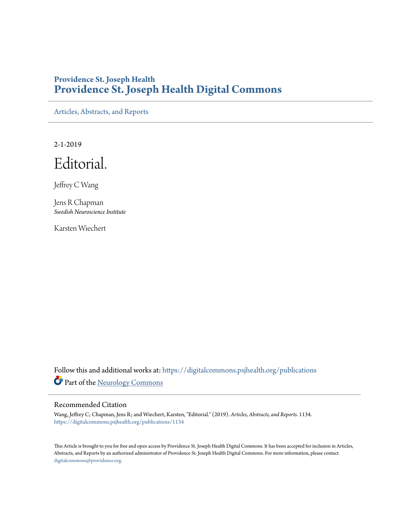## **Providence St. Joseph Health [Providence St. Joseph Health Digital Commons](https://digitalcommons.psjhealth.org?utm_source=digitalcommons.psjhealth.org%2Fpublications%2F1134&utm_medium=PDF&utm_campaign=PDFCoverPages)**

[Articles, Abstracts, and Reports](https://digitalcommons.psjhealth.org/publications?utm_source=digitalcommons.psjhealth.org%2Fpublications%2F1134&utm_medium=PDF&utm_campaign=PDFCoverPages)

2-1-2019

Editorial.

Jeffrey C Wang

Jens R Chapman *Swedish Neuroscience Institute*

Karsten Wiechert

Follow this and additional works at: [https://digitalcommons.psjhealth.org/publications](https://digitalcommons.psjhealth.org/publications?utm_source=digitalcommons.psjhealth.org%2Fpublications%2F1134&utm_medium=PDF&utm_campaign=PDFCoverPages) Part of the [Neurology Commons](http://network.bepress.com/hgg/discipline/692?utm_source=digitalcommons.psjhealth.org%2Fpublications%2F1134&utm_medium=PDF&utm_campaign=PDFCoverPages)

## Recommended Citation

Wang, Jeffrey C; Chapman, Jens R; and Wiechert, Karsten, "Editorial." (2019). *Articles, Abstracts, and Reports*. 1134. [https://digitalcommons.psjhealth.org/publications/1134](https://digitalcommons.psjhealth.org/publications/1134?utm_source=digitalcommons.psjhealth.org%2Fpublications%2F1134&utm_medium=PDF&utm_campaign=PDFCoverPages)

This Article is brought to you for free and open access by Providence St. Joseph Health Digital Commons. It has been accepted for inclusion in Articles, Abstracts, and Reports by an authorized administrator of Providence St. Joseph Health Digital Commons. For more information, please contact [digitalcommons@providence.org](mailto:digitalcommons@providence.org).